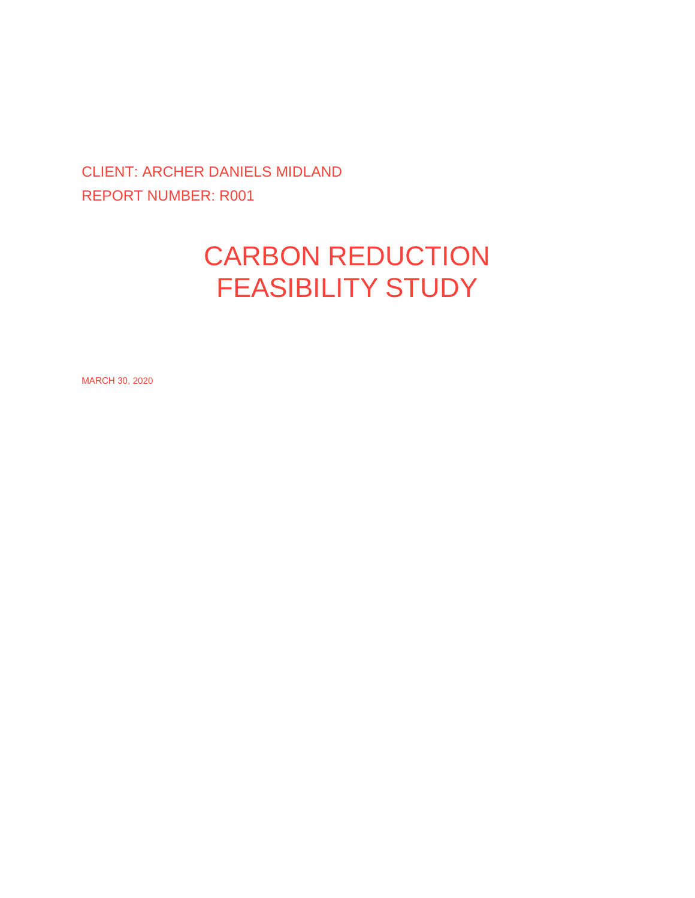### CLIENT: ARCHER DANIELS MIDLAND REPORT NUMBER: R001

# CARBON REDUCTION FEASIBILITY STUDY

MARCH 30, 2020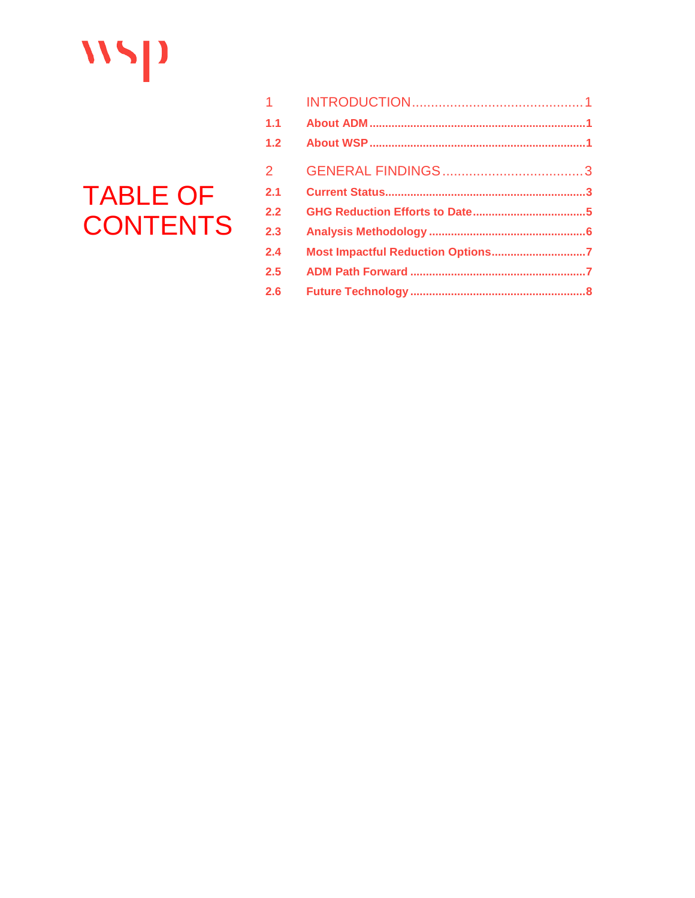# $N5$

# **TABLE OF CONTENTS**

| Most Impactful Reduction Options7 |
|-----------------------------------|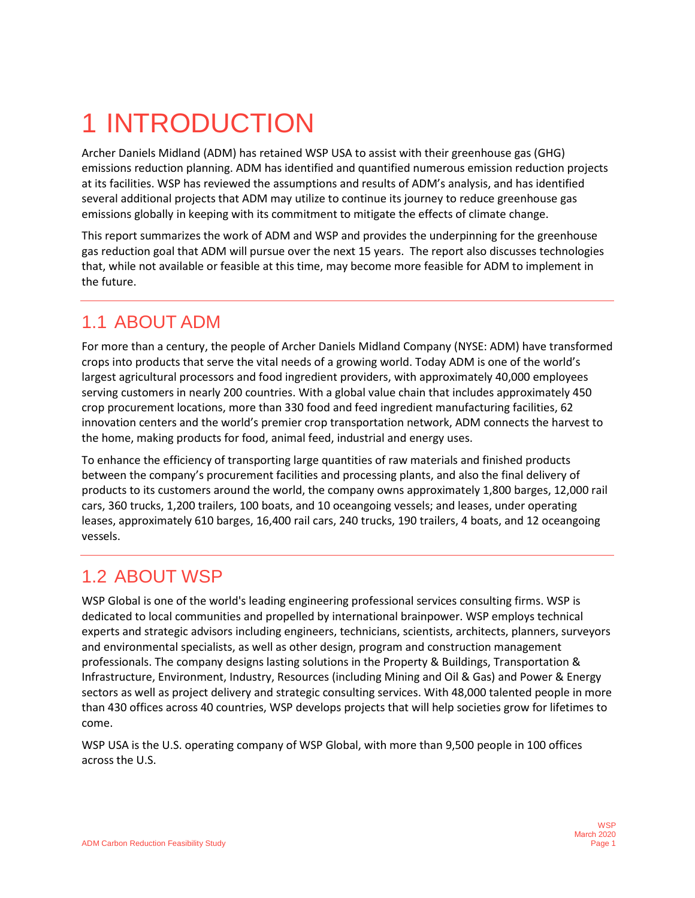# <span id="page-2-0"></span>1 INTRODUCTION

Archer Daniels Midland (ADM) has retained WSP USA to assist with their greenhouse gas (GHG) emissions reduction planning. ADM has identified and quantified numerous emission reduction projects at its facilities. WSP has reviewed the assumptions and results of ADM's analysis, and has identified several additional projects that ADM may utilize to continue its journey to reduce greenhouse gas emissions globally in keeping with its commitment to mitigate the effects of climate change.

This report summarizes the work of ADM and WSP and provides the underpinning for the greenhouse gas reduction goal that ADM will pursue over the next 15 years. The report also discusses technologies that, while not available or feasible at this time, may become more feasible for ADM to implement in the future.

# <span id="page-2-1"></span>1.1 ABOUT ADM

For more than a century, the people of Archer Daniels Midland Company (NYSE: ADM) have transformed crops into products that serve the vital needs of a growing world. Today ADM is one of the world's largest agricultural processors and food ingredient providers, with approximately 40,000 employees serving customers in nearly 200 countries. With a global value chain that includes approximately 450 crop procurement locations, more than 330 food and feed ingredient manufacturing facilities, 62 innovation centers and the world's premier crop transportation network, ADM connects the harvest to the home, making products for food, animal feed, industrial and energy uses.

To enhance the efficiency of transporting large quantities of raw materials and finished products between the company's procurement facilities and processing plants, and also the final delivery of products to its customers around the world, the company owns approximately 1,800 barges, 12,000 rail cars, 360 trucks, 1,200 trailers, 100 boats, and 10 oceangoing vessels; and leases, under operating leases, approximately 610 barges, 16,400 rail cars, 240 trucks, 190 trailers, 4 boats, and 12 oceangoing vessels.

# <span id="page-2-2"></span>1.2 ABOUT WSP

WSP Global is one of the world's leading engineering professional services consulting firms. WSP is dedicated to local communities and propelled by international brainpower. WSP employs technical experts and strategic advisors including engineers, technicians, scientists, architects, planners, surveyors and environmental specialists, as well as other design, program and construction management professionals. The company designs lasting solutions in the Property & Buildings, Transportation & Infrastructure, Environment, Industry, Resources (including Mining and Oil & Gas) and Power & Energy sectors as well as project delivery and strategic consulting services. With 48,000 talented people in more than 430 offices across 40 countries, WSP develops projects that will help societies grow for lifetimes to come.

WSP USA is the U.S. operating company of WSP Global, with more than 9,500 people in 100 offices across the U.S.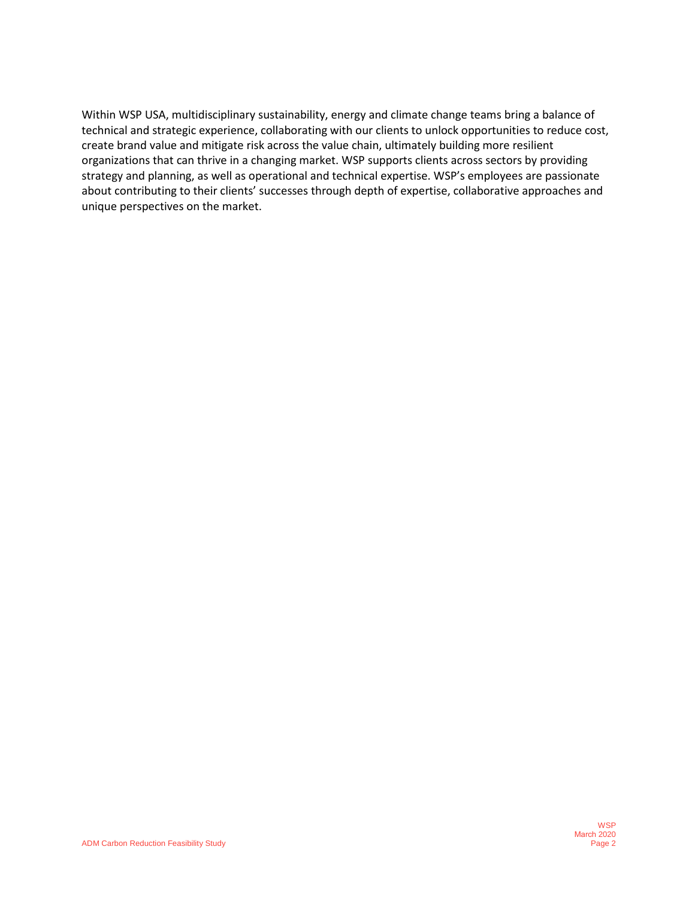Within WSP USA, multidisciplinary sustainability, energy and climate change teams bring a balance of technical and strategic experience, collaborating with our clients to unlock opportunities to reduce cost, create brand value and mitigate risk across the value chain, ultimately building more resilient organizations that can thrive in a changing market. WSP supports clients across sectors by providing strategy and planning, as well as operational and technical expertise. WSP's employees are passionate about contributing to their clients' successes through depth of expertise, collaborative approaches and unique perspectives on the market.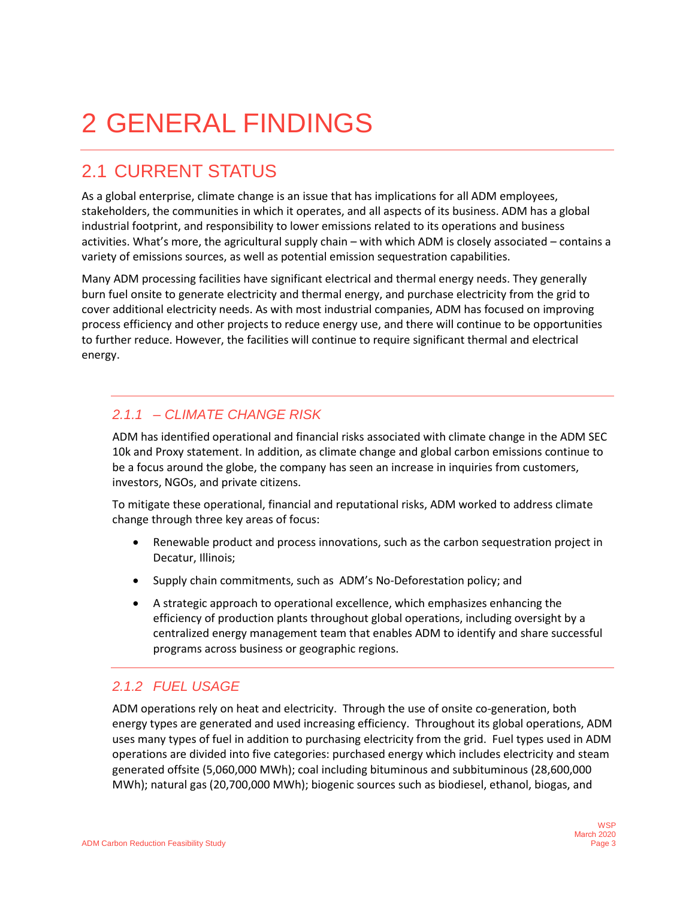# <span id="page-4-0"></span>2 GENERAL FINDINGS

# <span id="page-4-1"></span>2.1 CURRENT STATUS

As a global enterprise, climate change is an issue that has implications for all ADM employees, stakeholders, the communities in which it operates, and all aspects of its business. ADM has a global industrial footprint, and responsibility to lower emissions related to its operations and business activities. What's more, the agricultural supply chain – with which ADM is closely associated – contains a variety of emissions sources, as well as potential emission sequestration capabilities.

Many ADM processing facilities have significant electrical and thermal energy needs. They generally burn fuel onsite to generate electricity and thermal energy, and purchase electricity from the grid to cover additional electricity needs. As with most industrial companies, ADM has focused on improving process efficiency and other projects to reduce energy use, and there will continue to be opportunities to further reduce. However, the facilities will continue to require significant thermal and electrical energy.

#### *2.1.1 – CLIMATE CHANGE RISK*

ADM has identified operational and financial risks associated with climate change in the ADM SEC 10k and Proxy statement. In addition, as climate change and global carbon emissions continue to be a focus around the globe, the company has seen an increase in inquiries from customers, investors, NGOs, and private citizens.

To mitigate these operational, financial and reputational risks, ADM worked to address climate change through three key areas of focus:

- Renewable product and process innovations, such as the carbon sequestration project in Decatur, Illinois;
- Supply chain commitments, such as ADM's No-Deforestation policy; and
- A strategic approach to operational excellence, which emphasizes enhancing the efficiency of production plants throughout global operations, including oversight by a centralized energy management team that enables ADM to identify and share successful programs across business or geographic regions.

#### *2.1.2 FUEL USAGE*

ADM operations rely on heat and electricity. Through the use of onsite co-generation, both energy types are generated and used increasing efficiency. Throughout its global operations, ADM uses many types of fuel in addition to purchasing electricity from the grid. Fuel types used in ADM operations are divided into five categories: purchased energy which includes electricity and steam generated offsite (5,060,000 MWh); coal including bituminous and subbituminous (28,600,000 MWh); natural gas (20,700,000 MWh); biogenic sources such as biodiesel, ethanol, biogas, and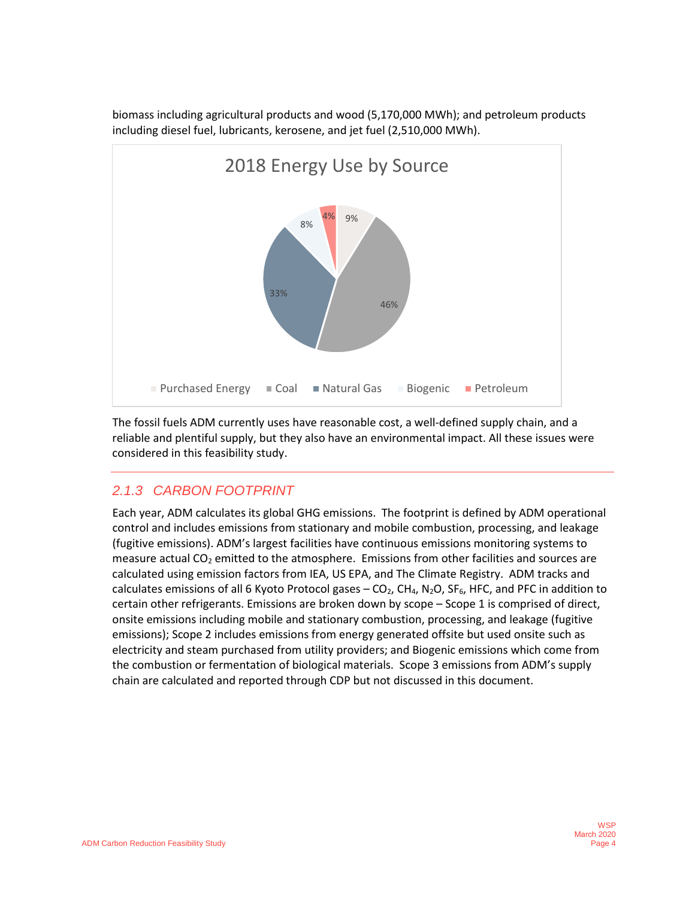

biomass including agricultural products and wood (5,170,000 MWh); and petroleum products including diesel fuel, lubricants, kerosene, and jet fuel (2,510,000 MWh).

The fossil fuels ADM currently uses have reasonable cost, a well-defined supply chain, and a reliable and plentiful supply, but they also have an environmental impact. All these issues were considered in this feasibility study.

#### *2.1.3 CARBON FOOTPRINT*

Each year, ADM calculates its global GHG emissions. The footprint is defined by ADM operational control and includes emissions from stationary and mobile combustion, processing, and leakage (fugitive emissions). ADM's largest facilities have continuous emissions monitoring systems to measure actual  $CO<sub>2</sub>$  emitted to the atmosphere. Emissions from other facilities and sources are calculated using emission factors from IEA, US EPA, and The Climate Registry. ADM tracks and calculates emissions of all 6 Kyoto Protocol gases  $-$  CO<sub>2</sub>, CH<sub>4</sub>, N<sub>2</sub>O, SF<sub>6</sub>, HFC, and PFC in addition to certain other refrigerants. Emissions are broken down by scope – Scope 1 is comprised of direct, onsite emissions including mobile and stationary combustion, processing, and leakage (fugitive emissions); Scope 2 includes emissions from energy generated offsite but used onsite such as electricity and steam purchased from utility providers; and Biogenic emissions which come from the combustion or fermentation of biological materials. Scope 3 emissions from ADM's supply chain are calculated and reported through CDP but not discussed in this document.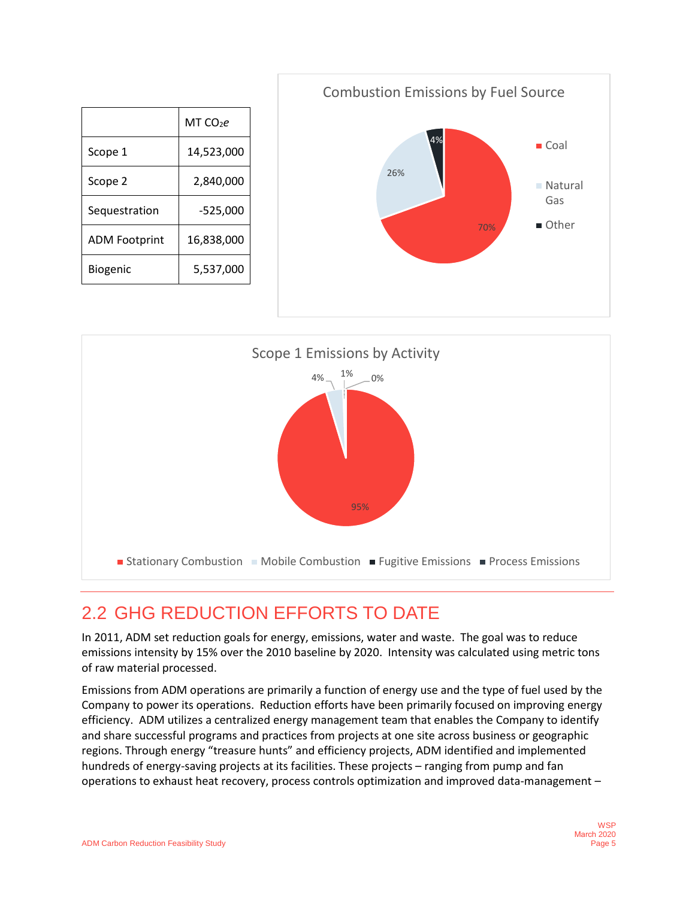|                      | MT CO2e    |
|----------------------|------------|
| Scope 1              | 14,523,000 |
| Scope 2              | 2,840,000  |
| Sequestration        | $-525,000$ |
| <b>ADM Footprint</b> | 16,838,000 |
| Biogenic             | 5,537,000  |





# <span id="page-6-0"></span>2.2 GHG REDUCTION EFFORTS TO DATE

In 2011, ADM set reduction goals for energy, emissions, water and waste. The goal was to reduce emissions intensity by 15% over the 2010 baseline by 2020. Intensity was calculated using metric tons of raw material processed.

Emissions from ADM operations are primarily a function of energy use and the type of fuel used by the Company to power its operations. Reduction efforts have been primarily focused on improving energy efficiency. ADM utilizes a centralized energy management team that enables the Company to identify and share successful programs and practices from projects at one site across business or geographic regions. Through energy "treasure hunts" and efficiency projects, ADM identified and implemented hundreds of energy-saving projects at its facilities. These projects – ranging from pump and fan operations to exhaust heat recovery, process controls optimization and improved data-management –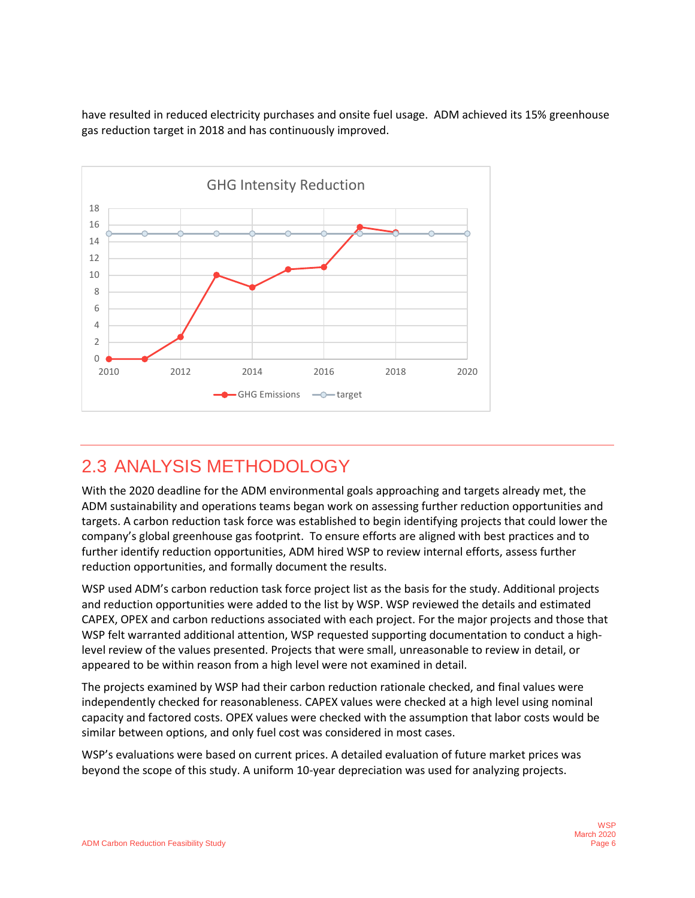have resulted in reduced electricity purchases and onsite fuel usage. ADM achieved its 15% greenhouse gas reduction target in 2018 and has continuously improved.



## <span id="page-7-0"></span>2.3 ANALYSIS METHODOLOGY

With the 2020 deadline for the ADM environmental goals approaching and targets already met, the ADM sustainability and operations teams began work on assessing further reduction opportunities and targets. A carbon reduction task force was established to begin identifying projects that could lower the company's global greenhouse gas footprint. To ensure efforts are aligned with best practices and to further identify reduction opportunities, ADM hired WSP to review internal efforts, assess further reduction opportunities, and formally document the results.

WSP used ADM's carbon reduction task force project list as the basis for the study. Additional projects and reduction opportunities were added to the list by WSP. WSP reviewed the details and estimated CAPEX, OPEX and carbon reductions associated with each project. For the major projects and those that WSP felt warranted additional attention, WSP requested supporting documentation to conduct a highlevel review of the values presented. Projects that were small, unreasonable to review in detail, or appeared to be within reason from a high level were not examined in detail.

The projects examined by WSP had their carbon reduction rationale checked, and final values were independently checked for reasonableness. CAPEX values were checked at a high level using nominal capacity and factored costs. OPEX values were checked with the assumption that labor costs would be similar between options, and only fuel cost was considered in most cases.

WSP's evaluations were based on current prices. A detailed evaluation of future market prices was beyond the scope of this study. A uniform 10-year depreciation was used for analyzing projects.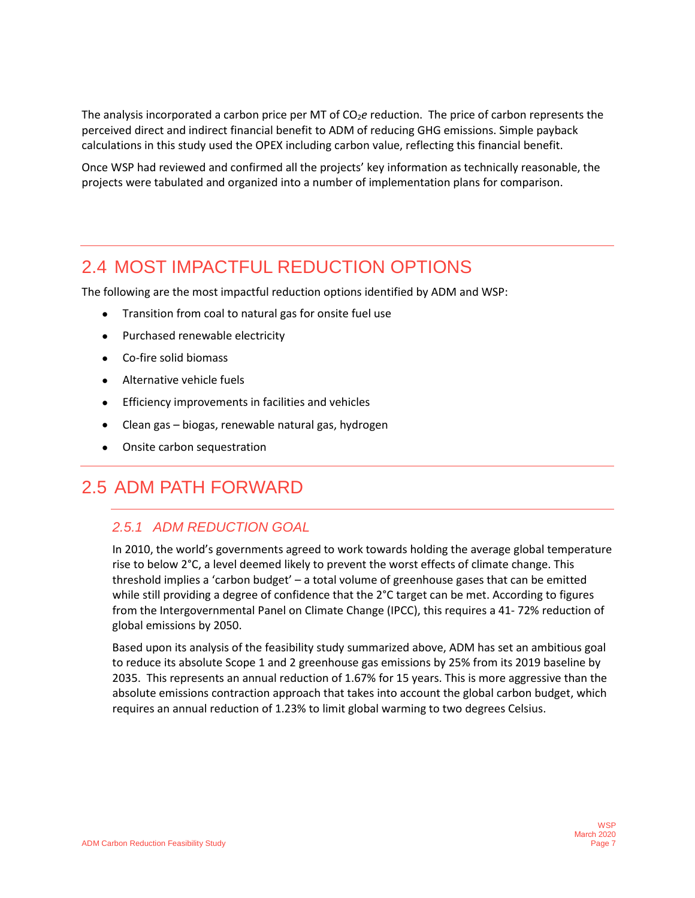The analysis incorporated a carbon price per MT of CO<sub>2</sub>e reduction. The price of carbon represents the perceived direct and indirect financial benefit to ADM of reducing GHG emissions. Simple payback calculations in this study used the OPEX including carbon value, reflecting this financial benefit.

Once WSP had reviewed and confirmed all the projects' key information as technically reasonable, the projects were tabulated and organized into a number of implementation plans for comparison.

### <span id="page-8-0"></span>2.4 MOST IMPACTFUL REDUCTION OPTIONS

The following are the most impactful reduction options identified by ADM and WSP:

- Transition from coal to natural gas for onsite fuel use
- Purchased renewable electricity
- Co-fire solid biomass
- Alternative vehicle fuels
- Efficiency improvements in facilities and vehicles
- Clean gas biogas, renewable natural gas, hydrogen
- Onsite carbon sequestration

### <span id="page-8-1"></span>2.5 ADM PATH FORWARD

#### *2.5.1 ADM REDUCTION GOAL*

In 2010, the world's governments agreed to work towards holding the average global temperature rise to below 2°C, a level deemed likely to prevent the worst effects of climate change. This threshold implies a 'carbon budget' – a total volume of greenhouse gases that can be emitted while still providing a degree of confidence that the 2°C target can be met. According to figures from the Intergovernmental Panel on Climate Change (IPCC), this requires a 41- 72% reduction of global emissions by 2050.

Based upon its analysis of the feasibility study summarized above, ADM has set an ambitious goal to reduce its absolute Scope 1 and 2 greenhouse gas emissions by 25% from its 2019 baseline by 2035. This represents an annual reduction of 1.67% for 15 years. This is more aggressive than the absolute emissions contraction approach that takes into account the global carbon budget, which requires an annual reduction of 1.23% to limit global warming to two degrees Celsius.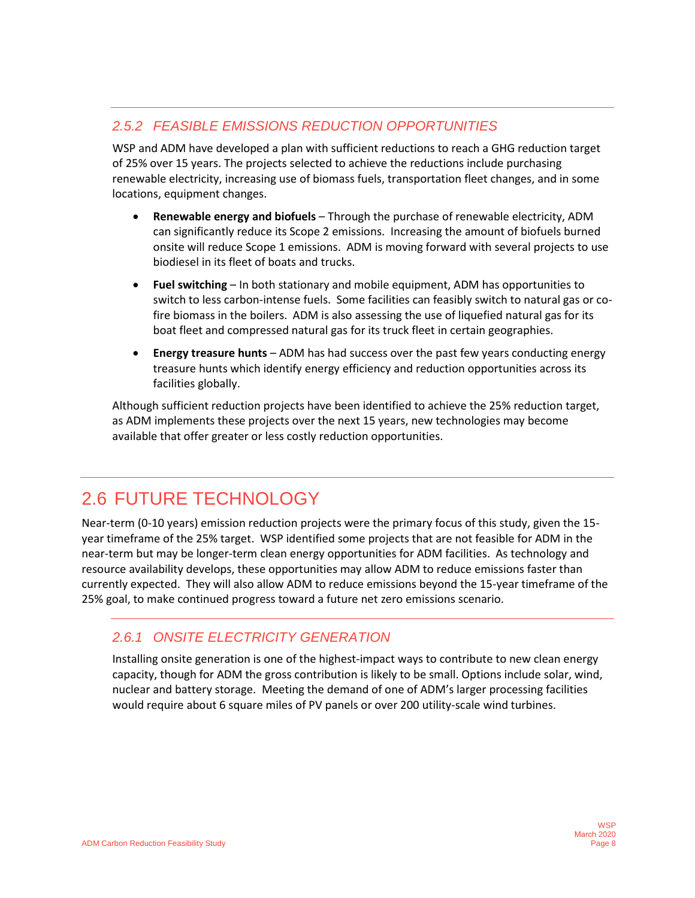### *2.5.2 FEASIBLE EMISSIONS REDUCTION OPPORTUNITIES*

WSP and ADM have developed a plan with sufficient reductions to reach a GHG reduction target of 25% over 15 years. The projects selected to achieve the reductions include purchasing renewable electricity, increasing use of biomass fuels, transportation fleet changes, and in some locations, equipment changes.

- **Renewable energy and biofuels** Through the purchase of renewable electricity, ADM can significantly reduce its Scope 2 emissions. Increasing the amount of biofuels burned onsite will reduce Scope 1 emissions. ADM is moving forward with several projects to use biodiesel in its fleet of boats and trucks.
- **Fuel switching**  In both stationary and mobile equipment, ADM has opportunities to switch to less carbon-intense fuels. Some facilities can feasibly switch to natural gas or cofire biomass in the boilers. ADM is also assessing the use of liquefied natural gas for its boat fleet and compressed natural gas for its truck fleet in certain geographies.
- **Energy treasure hunts** ADM has had success over the past few years conducting energy treasure hunts which identify energy efficiency and reduction opportunities across its facilities globally.

Although sufficient reduction projects have been identified to achieve the 25% reduction target, as ADM implements these projects over the next 15 years, new technologies may become available that offer greater or less costly reduction opportunities.

# <span id="page-9-0"></span>2.6 FUTURE TECHNOLOGY

Near-term (0-10 years) emission reduction projects were the primary focus of this study, given the 15 year timeframe of the 25% target. WSP identified some projects that are not feasible for ADM in the near-term but may be longer-term clean energy opportunities for ADM facilities. As technology and resource availability develops, these opportunities may allow ADM to reduce emissions faster than currently expected. They will also allow ADM to reduce emissions beyond the 15-year timeframe of the 25% goal, to make continued progress toward a future net zero emissions scenario.

#### *2.6.1 ONSITE ELECTRICITY GENERATION*

Installing onsite generation is one of the highest-impact ways to contribute to new clean energy capacity, though for ADM the gross contribution is likely to be small. Options include solar, wind, nuclear and battery storage. Meeting the demand of one of ADM's larger processing facilities would require about 6 square miles of PV panels or over 200 utility-scale wind turbines.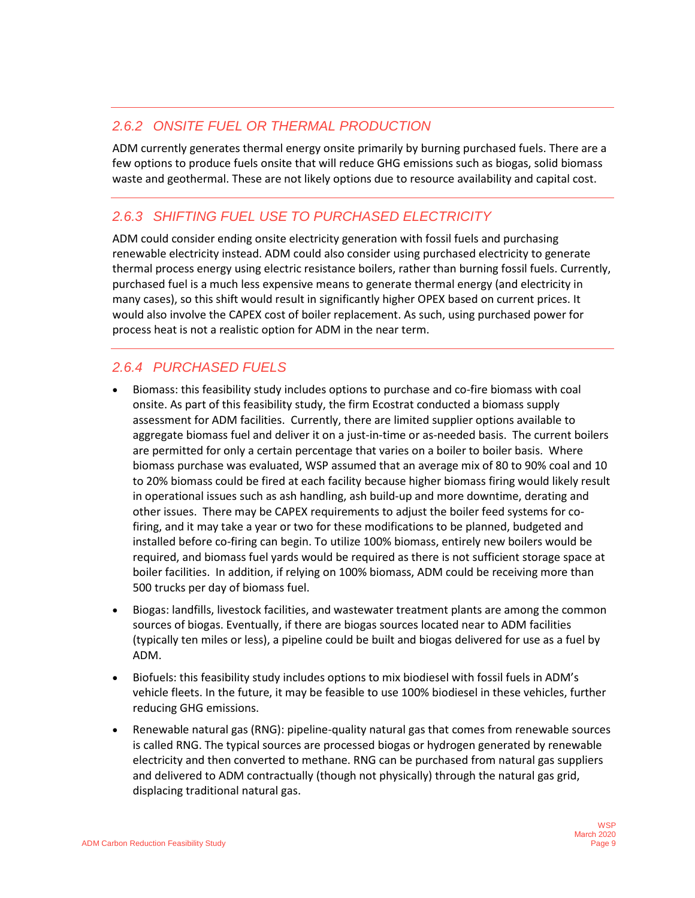#### *2.6.2 ONSITE FUEL OR THERMAL PRODUCTION*

ADM currently generates thermal energy onsite primarily by burning purchased fuels. There are a few options to produce fuels onsite that will reduce GHG emissions such as biogas, solid biomass waste and geothermal. These are not likely options due to resource availability and capital cost.

#### *2.6.3 SHIFTING FUEL USE TO PURCHASED ELECTRICITY*

ADM could consider ending onsite electricity generation with fossil fuels and purchasing renewable electricity instead. ADM could also consider using purchased electricity to generate thermal process energy using electric resistance boilers, rather than burning fossil fuels. Currently, purchased fuel is a much less expensive means to generate thermal energy (and electricity in many cases), so this shift would result in significantly higher OPEX based on current prices. It would also involve the CAPEX cost of boiler replacement. As such, using purchased power for process heat is not a realistic option for ADM in the near term.

#### *2.6.4 PURCHASED FUELS*

- Biomass: this feasibility study includes options to purchase and co-fire biomass with coal onsite. As part of this feasibility study, the firm Ecostrat conducted a biomass supply assessment for ADM facilities. Currently, there are limited supplier options available to aggregate biomass fuel and deliver it on a just-in-time or as-needed basis. The current boilers are permitted for only a certain percentage that varies on a boiler to boiler basis. Where biomass purchase was evaluated, WSP assumed that an average mix of 80 to 90% coal and 10 to 20% biomass could be fired at each facility because higher biomass firing would likely result in operational issues such as ash handling, ash build-up and more downtime, derating and other issues. There may be CAPEX requirements to adjust the boiler feed systems for cofiring, and it may take a year or two for these modifications to be planned, budgeted and installed before co-firing can begin. To utilize 100% biomass, entirely new boilers would be required, and biomass fuel yards would be required as there is not sufficient storage space at boiler facilities. In addition, if relying on 100% biomass, ADM could be receiving more than 500 trucks per day of biomass fuel.
- Biogas: landfills, livestock facilities, and wastewater treatment plants are among the common sources of biogas. Eventually, if there are biogas sources located near to ADM facilities (typically ten miles or less), a pipeline could be built and biogas delivered for use as a fuel by ADM.
- Biofuels: this feasibility study includes options to mix biodiesel with fossil fuels in ADM's vehicle fleets. In the future, it may be feasible to use 100% biodiesel in these vehicles, further reducing GHG emissions.
- Renewable natural gas (RNG): pipeline-quality natural gas that comes from renewable sources is called RNG. The typical sources are processed biogas or hydrogen generated by renewable electricity and then converted to methane. RNG can be purchased from natural gas suppliers and delivered to ADM contractually (though not physically) through the natural gas grid, displacing traditional natural gas.